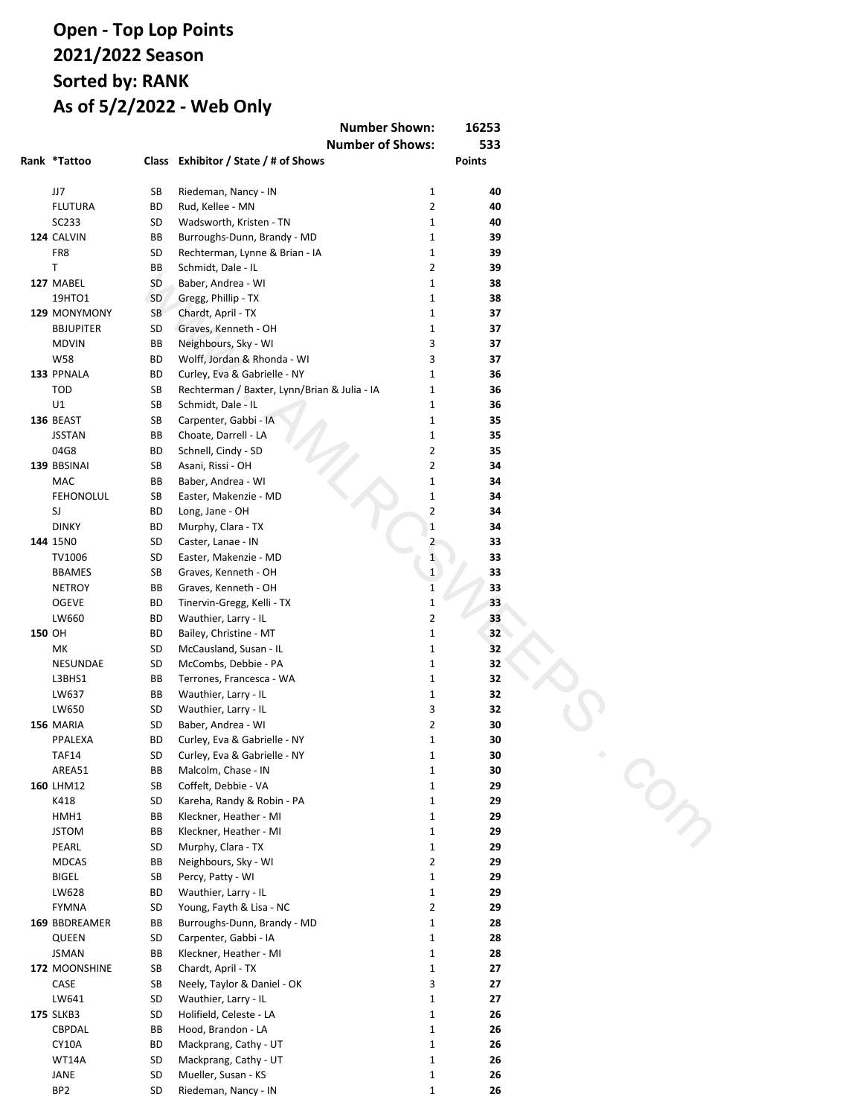## **Open - Sweepstakes Points 2021/2022 Season Sorted by: RANK As of 5/2/2022 - Web Only**

| <b>Number Shown:</b><br>16253                       |          |              |
|-----------------------------------------------------|----------|--------------|
| <b>Number of Shows:</b>                             |          | 533          |
| Rank Exhibitor / State / # of Shows                 |          | Points       |
| 1 Burroughs-Dunn, Brandy - MD                       | 36       | 12181        |
| 2 Young, Fayth & Lisa - NC                          | 44       | 12036        |
| 3 Schmidt, Dale - IL                                | 29       | 7339         |
| 4 Percy, Patty - WI                                 | 27       | 7040         |
| 5 Chardt, April - TX                                | 23       | 6270         |
| 6 McCombs, Debbie - PA                              | 32       | 6223         |
| 7 Murphy, Clara - TX                                | 21       | 5978         |
| 8 Kleckner, Heather - MI                            | 12       | 5633         |
| 9 Padgett, Mike - IN                                | 28       | 5618         |
| 10 Wadsworth, Kristen - TN                          | 22       | 4959         |
| 11 Carpenter, Gabbi - IA                            | 22       | 4501         |
| 12 Easter, Makenzie - PA                            | 26       | 3831         |
| 13 Coffelt, Debbie - VA                             | 31       | 3667         |
| 14 Schnell, Cindy - SD                              | 17<br>22 | 3548         |
| 15 Wauthier, Larry - IL<br>16 Mackprang, Chris - UT | 17       | 3536<br>2861 |
| 17 McCausland, Susan - IL                           | 17       | 2664         |
| 18 Terril, Travis - IN                              | 16       | 2559         |
| 19 Tisdale, Anastacia - WI                          | 24       | 2459         |
| 20 Tinervin-Gregg, Kelli - TX                       | 20       | 2420         |
| 21 Baber, Andrea - WI                               | 15       | 2292         |
| 22 Bailey, Christine - MT                           | 22       | 2148         |
| 23 Rechterman / Baxter, Lynn/Brian & Julia - IA     | 12       | 2055         |
| 24 Woehl, Randy - SD                                | 16       | 2026         |
| 25 Woehl, Adam & Kendra - IA                        | 19       | 1983         |
| 26 Hauska / Stevenson, Laurie & Matthew - WY        | 19       | 1964         |
| 27 Harp, Shari - TX                                 | 17       | 1963         |
| 28 Rud, Kellee - MN                                 | 20       | 1961         |
| 29 Rivers, Katie - NY                               | 21       | 1892         |
| 30 Ping, Matt & Cathy - IL                          | 13       | 1749         |
| 31 Long, Jane - OH                                  | 15       | 1722         |
| 32 Mackprang, Cathy - UT                            | 17       | 1646         |
| 33 Gaunitz, Lindsey / Irene & Marilea - IA          | 14       | 1631         |
| 34 Evans, Amber - GA                                | 12       | 1620         |
| 35 McCulloch, Marsha - NY                           | 7        | 1596         |
| 36 Mallory, Donna - MI                              | 10       | 1507         |
| 37 Curley, Eva & Gabrielle - NY                     | 6        | 1467         |
| 38 LaFontaine, Annette - MI<br>39 Wiley, Tim - AL   | 6<br>5   | 1313<br>1292 |
| 40 Lamey / Larson, Todd & Heather - TX              | 11       | 1289         |
| 41 Holifield, Celeste - LA                          | 10       | 1286         |
| 42 O'Brien, Teresa & Skeeter - IN                   | 5        | 1250         |
| 43 Riedeman, Nancy - IN                             | 9        | 1114         |
| 44 Neighbours, Sky - WI                             | 11       | 971          |
| 45 Slattery, Amy - OH                               | 11       | 966          |
| 46 Hood, Brandon - LA                               | 11       | 923          |
| 47 Asani, Rissi - OH                                | 11       | 882          |
| 48 Kareha, Randy & Robin - PA                       | 8        | 872          |
| 49 Briggs, Jody - OR                                | 9        | 861          |
| 50 Graves, Kenneth - OH                             | 11       | 840          |
| 51 Choate, Darrell - LA                             | 4        | 818          |
| 52 Caster, Lanae - IN                               | 14       | 816          |
| 53 Gerard, Kristina - MN                            | 9        | 803          |
| Porter, Marina - NJ                                 | 9        | 803          |
| 55 Schenck, Phil - NY                               | 6        | 767          |
| 56 Rechterman, Lynne & Brian - IA                   | 7        | 763          |
| 57 Clark, Laura - TX                                | 13       | 743          |
| 58 Boxell, Nate & Lisa - IN                         | 16       | 719          |
| 59 Fouch, Debbie - CA                               | 14<br>2  | 706          |
| 60 Ping, Cathy - IL                                 |          | 676          |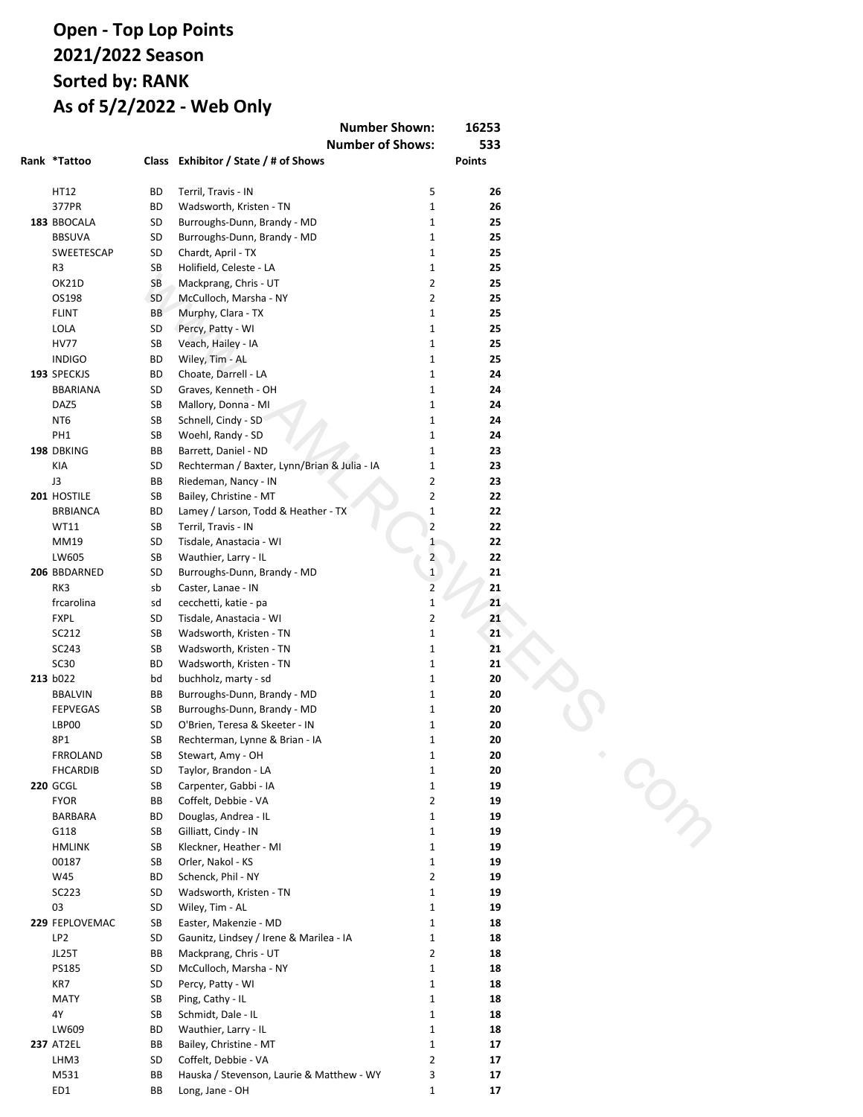## **Open - Sweepstakes Points 2021/2022 Season Sorted by: RANK As of 5/2/2022 - Web Only Number Shown: 16253**

| <b>Number of Shows:</b>                            |        | 533        |
|----------------------------------------------------|--------|------------|
| Rank Exhibitor / State / # of Shows                |        | Points     |
| 61 Mackprang, Analynn - UT                         | 17     | 655        |
| 62 Brattlie, Hanna - WI                            | 3      | 620        |
| 63 King, Lauren - TX                               | 2      | 619        |
| 64 Fulmer / Posey, Brandon & Christy - SC          | 9      | 602        |
| 65 Gregg, Phillip - TX                             | 8      | 571        |
| 66 Rowell, Michaela - IA                           | 4      | 518        |
| 67 Wolff, Jordan & Rhonda - WI                     | 9      | 511        |
| 68 Terrones, Francesca - WA                        | 5      | 480        |
| 69 Devlin, Terri - VT                              | 5      | 444        |
| 70 Taylor, Brandon - LA                            | 12     | 431        |
| 71 Stewart, Amy - OH                               | 6      | 403        |
| 72 Neely, Taylor & Daniel - OK                     | 6      | 386        |
| 73 Gilliatt, Cindy - IN                            | 6      | 370        |
| Huston, Jr., Mike - TN                             | 9      | 370        |
| 75 Orler, Nakol - KS                               | 6      | 368        |
| 76 Veach, Hailey - IA                              | 1      | 340        |
| 77 Mueller, Susan - KS                             | 4      | 332        |
| 78 Kabela, Carson - TX                             | 5      | 298        |
| 79 Burton, Clarisssa - OK                          | 3      | 291        |
| 80 Bailey, Dustin - MT                             | 9      | 266        |
| 81 Brattlie, Rylee - WI                            | 3<br>4 | 221<br>210 |
| 82 Baxter, Julia - IA                              | 4      | 203        |
| 83 Barrett, Daniel - ND<br>84 Kennedy, Brooke - OH | 6      | 193        |
| 85 Goetze, Jessica - MN                            | 2      | 192        |
| 86 Douglas, Andrea - IL                            | 5      | 171        |
| 87 Costner, Genesis - LA                           | 6      | 170        |
| 88 Tate, Lillian - GA                              | 2      | 165        |
| 89 Rivers, Torre - NY                              | 8      | 161        |
| 90 Malcolm, Chase - IN                             | 1      | 160        |
| 91 Campbell, Evangeline - OK                       | 4      | 149        |
| 92 Moore, Lilly - OH                               | 3      | 139        |
| 93 Cape, Abigail - OR                              | 5      | 133        |
| 94 Lloid, Tammy - LA                               | 5      | 122        |
| 95 Redwine, Faith - IN                             | 6      | 121        |
| 96 Larson, Ethan - CA                              | 1      | 120        |
| 97 Griffin, Joan - AR                              | 3      | 118        |
| 98 Knutsen, Cooper - CA                            | 1      | 115        |
| 99 Berthelot, Anthony - LA                         | 4      | 113        |
| <b>100</b> Jared, Sr., Mark - KY                   | 2      | 112        |
| 101 Anderson, Kenna - NE                           | 2      | 106        |
| 102 Vandiver, Heather - KY                         | 2      | 103        |
| 103 Terrones, Carmella - WA                        | 5      | 101        |
| 104 Neely, Taylor & Dylan - OK                     | 2      | 96         |
| 105 Paulsey, Reisa - CA                            | 1      | 86         |
| 106 Goetze, Keith - MN                             | 2      | 84         |
| 107 Bennett, Abigail - KY                          | 3      | 82         |
| 108 Malcolm, Carter - IN                           | 1      | 81         |
| 109 Easton, Nelson - MI                            | 1      | 77         |
| 110 Cosenza, Savannah - NJ                         | 2      | 74         |
| 111 Buckley, Sarah - ME                            | 2      | 66         |
| 112 Kane, Jamie - WI                               | 1      | 64         |
| 113 Cimaroli, Matthew - WI                         | 3      | 63         |
| 114 Caster, LaDonna - IN                           | 5      | 57         |
| 115 Pisarski, Deb - NY                             | 4      | 54         |
| 116 Walls, Katja - IL                              | 2      | 52         |
| 117 Woehl, Phyllis - SD                            | 2      | 46         |
| 118 Swanson, John - IL                             | 1      | 44         |
| Woehl, Randy & Phyllis - SD                        | 2      | 44         |
| 120 Rieker, Margo - MT                             | 3      | 42         |